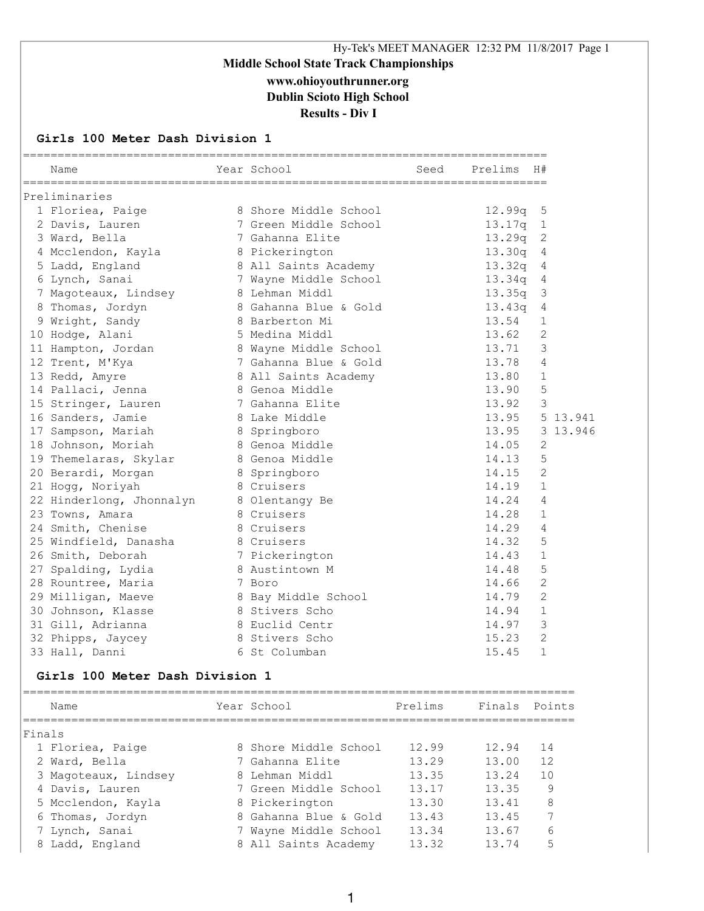# Hy-Tek's MEET MANAGER 12:32 PM 11/8/2017 Page 1 **Middle School State Track Championships www.ohioyouthrunner.org Dublin Scioto High School Results - Div I**

#### **Girls 100 Meter Dash Division 1**

| Name                     | Year School           | Seed | Prelims | H#             |
|--------------------------|-----------------------|------|---------|----------------|
| Preliminaries            |                       |      |         |                |
| 1 Floriea, Paige         | 8 Shore Middle School |      | 12.99q  | 5              |
| 2 Davis, Lauren          | 7 Green Middle School |      | 13.17q  | 1              |
| 3 Ward, Bella            | 7 Gahanna Elite       |      | 13.29q  | $\mathbf{2}$   |
| 4 Mcclendon, Kayla       | 8 Pickerington        |      | 13.30q  | 4              |
| 5 Ladd, England          | 8 All Saints Academy  |      | 13.32q  | 4              |
| 6 Lynch, Sanai           | 7 Wayne Middle School |      | 13.34q  | 4              |
| 7 Magoteaux, Lindsey     | 8 Lehman Middl        |      | 13.35q  | 3              |
| 8 Thomas, Jordyn         | 8 Gahanna Blue & Gold |      | 13.43q  | 4              |
| 9 Wright, Sandy          | 8 Barberton Mi        |      | 13.54   | $\mathbf{1}$   |
| 10 Hodge, Alani          | 5 Medina Middl        |      | 13.62   | 2              |
| 11 Hampton, Jordan       | 8 Wayne Middle School |      | 13.71   | 3              |
| 12 Trent, M'Kya          | 7 Gahanna Blue & Gold |      | 13.78   | $\overline{4}$ |
| 13 Redd, Amyre           | 8 All Saints Academy  |      | 13.80   | 1              |
| 14 Pallaci, Jenna        | 8 Genoa Middle        |      | 13.90   | 5              |
| 15 Stringer, Lauren      | 7 Gahanna Elite       |      | 13.92   | 3              |
| 16 Sanders, Jamie        | 8 Lake Middle         |      | 13.95   | 5 13.941       |
| 17 Sampson, Mariah       | 8 Springboro          |      | 13.95   | 3 13.946       |
| 18 Johnson, Moriah       | 8 Genoa Middle        |      | 14.05   | 2              |
| 19 Themelaras, Skylar    | 8 Genoa Middle        |      | 14.13   | 5              |
| 20 Berardi, Morgan       | 8 Springboro          |      | 14.15   | $\overline{2}$ |
| 21 Hogg, Noriyah         | 8 Cruisers            |      | 14.19   | $\mathbf{1}$   |
| 22 Hinderlong, Jhonnalyn | 8 Olentangy Be        |      | 14.24   | 4              |
| 23 Towns, Amara          | 8 Cruisers            |      | 14.28   | $\mathbf{1}$   |
| 24 Smith, Chenise        | 8 Cruisers            |      | 14.29   | 4              |
| 25 Windfield, Danasha    | 8 Cruisers            |      | 14.32   | 5              |
| 26 Smith, Deborah        | 7 Pickerington        |      | 14.43   | $\mathbf 1$    |
| 27 Spalding, Lydia       | 8 Austintown M        |      | 14.48   | 5              |
| 28 Rountree, Maria       | 7 Boro                |      | 14.66   | $\overline{2}$ |
| 29 Milligan, Maeve       | 8 Bay Middle School   |      | 14.79   | $\overline{2}$ |
| 30 Johnson, Klasse       | 8 Stivers Scho        |      | 14.94   | $\mathbf{1}$   |
| 31 Gill, Adrianna        | 8 Euclid Centr        |      | 14.97   | $\mathcal{S}$  |
| 32 Phipps, Jaycey        | 8 Stivers Scho        |      | 15.23   | $\overline{2}$ |
| 33 Hall, Danni           | 6 St Columban         |      | 15.45   | $\mathbf{1}$   |

### **Girls 100 Meter Dash Division 1**

|        | Name                 | Year School           | Prelims | Finals Points |    |
|--------|----------------------|-----------------------|---------|---------------|----|
| Finals |                      |                       |         |               |    |
|        | 1 Floriea, Paige     | 8 Shore Middle School | 12.99   | 12.94         | 14 |
|        | 2 Ward, Bella        | 7 Gahanna Elite       | 13.29   | 13.00         | 12 |
|        | 3 Magoteaux, Lindsey | 8 Lehman Middl        | 13.35   | 13.24         | 10 |
|        | 4 Davis, Lauren      | 7 Green Middle School | 13.17   | 13.35         | 9  |
|        | 5 Mcclendon, Kayla   | 8 Pickerington        | 13.30   | 13.41         | 8  |
|        | 6 Thomas, Jordyn     | 8 Gahanna Blue & Gold | 13.43   | 13.45         |    |
|        | 7 Lynch, Sanai       | 7 Wayne Middle School | 13.34   | 13.67         | 6  |
|        | 8 Ladd, England      | 8 All Saints Academy  | 13.32   | 13.74         | 5  |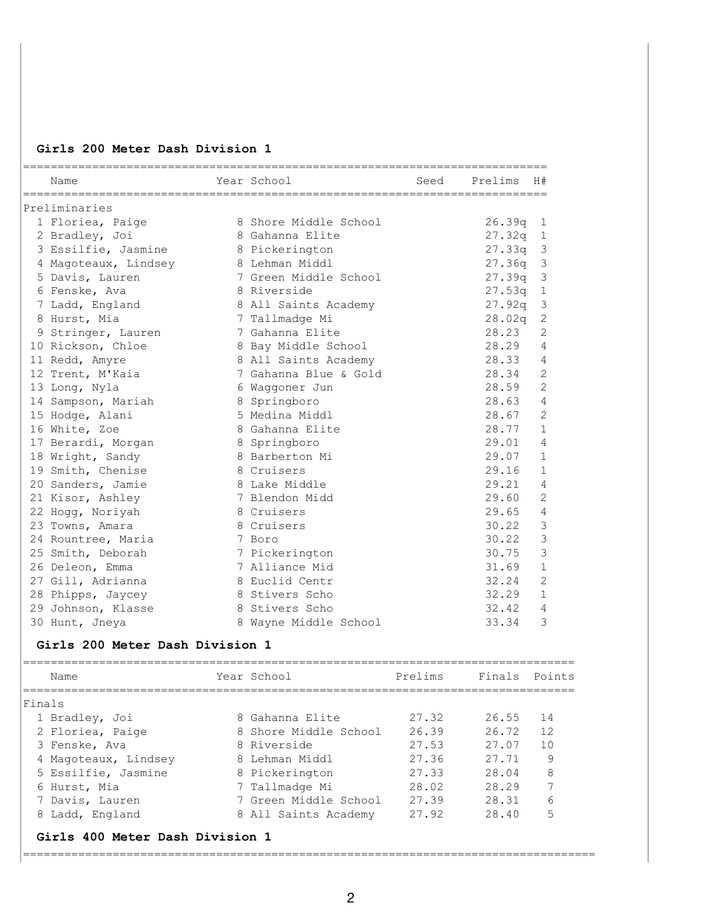### **Girls 200 Meter Dash Division 1**

| Name                                | Year School                                          | Seed | Prelims H#            |                         |
|-------------------------------------|------------------------------------------------------|------|-----------------------|-------------------------|
| Preliminaries                       |                                                      |      |                       |                         |
| 1 Floriea, Paige                    | 8 Shore Middle School                                |      | 26.39q                | $\mathbf{1}$            |
| 2 Bradley, Joi                      | 8 Gahanna Elite                                      |      | $27.32q$ 1            |                         |
| 3 Essilfie, Jasmine                 | 8 Pickerington                                       |      | $27.33q$ 3            |                         |
| 4 Magoteaux, Lindsey 3 Lehman Middl |                                                      |      | 27.36q                | $\overline{\mathbf{3}}$ |
| 5 Davis, Lauren                     | 7 Green Middle School                                |      | 27.39q                | $\overline{\mathbf{3}}$ |
| 6 Fenske, Ava                       | 8 Riverside                                          |      | 27.53q                | $\mathbf{1}$            |
| 7 Ladd, England                     | 8 All Saints Academy                                 |      | 27.92q                | $\mathcal{S}$           |
| 8 Hurst, Mia                        | 7 Tallmadge Mi                                       |      | 28.02q                | $\mathbf{2}$            |
| 9 Stringer, Lauren                  | 7 Gahanna Elite                                      |      | 28.23                 | 2                       |
| 10 Rickson, Chloe                   | 8 Bay Middle School                                  |      | 28.29                 | 4                       |
| 11 Redd, Amyre                      | 8 All Saints Academy                                 |      | 28.33                 | 4                       |
| 12 Trent, M'Kaia                    | 7 Gahanna Blue & Gold                                |      | 28.34                 | 2                       |
| 13 Long, Nyla                       | 6 Waqqoner Jun                                       |      | 28.59                 | 2                       |
| 14 Sampson, Mariah                  | 8 Springboro                                         |      | 28.63                 | 4                       |
| 15 Hodge, Alani                     | 5 Medina Middl                                       |      | 28.67                 | 2                       |
| 16 White, Zoe                       | 8 Gahanna Elite                                      |      | 28.77                 | $\mathbf{1}$            |
| 17 Berardi, Morgan                  | 8 Springboro                                         |      | 29.01                 | $\overline{4}$          |
| 18 Wright, Sandy                    | 8 Barberton Mi                                       |      | 29.07                 | 1                       |
| 19 Smith, Chenise                   | 8 Cruisers                                           |      | 29.16                 | $\mathbf{1}$            |
| 20 Sanders, Jamie                   | 8 Lake Middle                                        |      | 29.21                 | 4                       |
| 21 Kisor, Ashley                    | 7 Blendon Midd                                       |      | 29.60                 | $\overline{2}$          |
| 22 Hogg, Noriyah                    | 8 Cruisers                                           |      | 29.65                 | 4                       |
| 23 Towns, Amara                     | 8 Cruisers                                           |      | 30.22                 | 3                       |
| 24 Rountree, Maria                  | 7 Boro                                               |      | 30.22                 | 3                       |
| 25 Smith, Deborah                   | 7 Pickerington                                       |      | 30.75                 | 3                       |
| 26 Deleon, Emma                     | 7 Alliance Mid                                       |      | 31.69                 | $\mathbf{1}$            |
| 27 Gill, Adrianna                   | 8 Euclid Centr                                       |      | 32.24                 | $\overline{2}$          |
| 28 Phipps, Jaycey                   | 8 Stivers Scho                                       |      | 32.29                 | $\mathbf{1}$            |
| 29 Johnson, Klasse                  | 8 Stivers Scho                                       |      | 32.42                 | 4                       |
| 30 Hunt, Jneya                      | 8 Wayne Middle School                                |      | 33.34                 | 3                       |
| Girls 200 Meter Dash Division 1     |                                                      |      |                       |                         |
| Name                                | _____________________________________<br>Year School |      | Prelims Finals Points |                         |

| Finals                          |                       |       |       |    |
|---------------------------------|-----------------------|-------|-------|----|
| 1 Bradley, Joi                  | 8 Gahanna Elite       | 27.32 | 26.55 | 14 |
| 2 Floriea, Paige                | 8 Shore Middle School | 26.39 | 26.72 | 12 |
| 3 Fenske, Ava                   | 8 Riverside           | 27.53 | 27.07 | 10 |
| 4 Magoteaux, Lindsey            | 8 Lehman Middl        | 27.36 | 27.71 | 9  |
| 5 Essilfie, Jasmine             | 8 Pickerington        | 27.33 | 28.04 | 8  |
| 6 Hurst, Mia                    | 7 Tallmadge Mi        | 28.02 | 28.29 | 7  |
| 7 Davis, Lauren                 | 7 Green Middle School | 27.39 | 28.31 | 6  |
| 8 Ladd, England                 | 8 All Saints Academy  | 27.92 | 28.40 | 5  |
| Girls 400 Meter Dash Division 1 |                       |       |       |    |

===================================================================================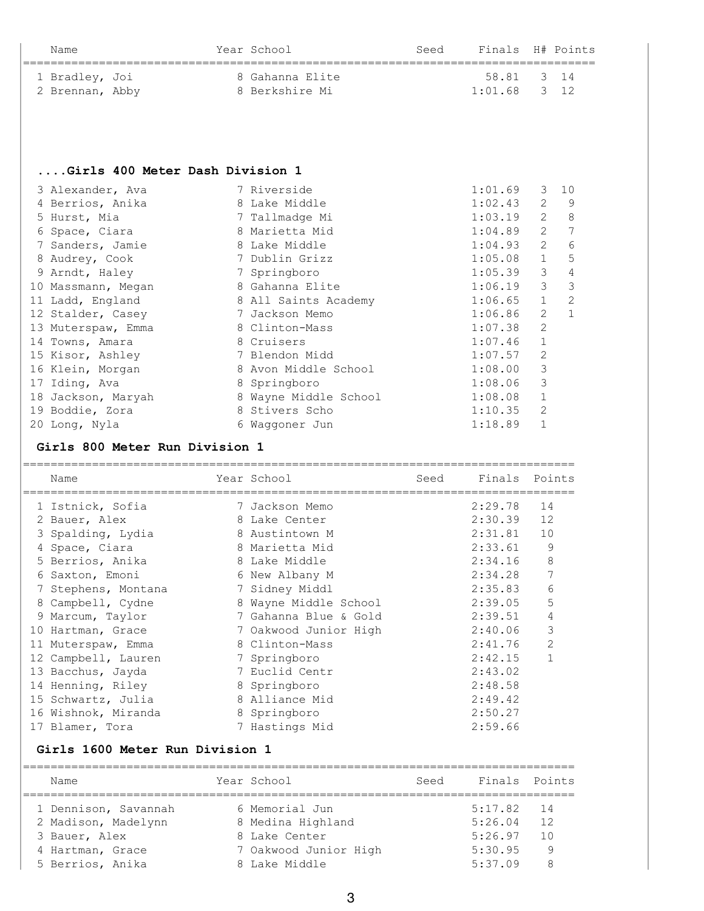| Name            | Year School     | Seed | Finals H# Points |  |
|-----------------|-----------------|------|------------------|--|
| 1 Bradley, Joi  | 8 Gahanna Elite |      | 58.81 3 14       |  |
| 2 Brennan, Abby | 8 Berkshire Mi  |      | $1:01.68$ 3 12   |  |

## **....Girls 400 Meter Dash Division 1**

| 3 Alexander, Ava   | 7 Riverside           | 1:01.69 | 3              | 10             |
|--------------------|-----------------------|---------|----------------|----------------|
| 4 Berrios, Anika   | 8 Lake Middle         | 1:02.43 | 2              | 9              |
| 5 Hurst, Mia       | 7 Tallmadge Mi        | 1:03.19 | 2              | 8              |
| 6 Space, Ciara     | 8 Marietta Mid        | 1:04.89 | 2              | 7              |
| 7 Sanders, Jamie   | 8 Lake Middle         | 1:04.93 | $\overline{2}$ | 6              |
| 8 Audrey, Cook     | 7 Dublin Grizz        | 1:05.08 | $\mathbf{1}$   | 5              |
| 9 Arndt, Haley     | 7 Springboro          | 1:05.39 | 3              | $\overline{4}$ |
| 10 Massmann, Megan | 8 Gahanna Elite       | 1:06.19 | 3              | 3              |
| 11 Ladd, England   | 8 All Saints Academy  | 1:06.65 | $\mathbf 1$    | 2              |
| 12 Stalder, Casey  | 7 Jackson Memo        | 1:06.86 | $\overline{2}$ | 1              |
| 13 Muterspaw, Emma | 8 Clinton-Mass        | 1:07.38 | $\overline{2}$ |                |
| 14 Towns, Amara    | 8 Cruisers            | 1:07.46 | 1              |                |
| 15 Kisor, Ashley   | 7 Blendon Midd        | 1:07.57 | 2              |                |
| 16 Klein, Morgan   | 8 Avon Middle School  | 1:08.00 | 3              |                |
| 17 Iding, Ava      | 8 Springboro          | 1:08.06 | 3              |                |
| 18 Jackson, Maryah | 8 Wayne Middle School | 1:08.08 | 1              |                |
| 19 Boddie, Zora    | 8 Stivers Scho        | 1:10.35 | 2              |                |
| 20 Long, Nyla      | 6 Waqqoner Jun        | 1:18.89 |                |                |

### **Girls 800 Meter Run Division 1**

|    | Name                | Year School           | Seed | Finals  | Points         |
|----|---------------------|-----------------------|------|---------|----------------|
|    | 1 Istnick, Sofia    | 7 Jackson Memo        |      | 2:29.78 | 14             |
|    | 2 Bauer, Alex       | 8 Lake Center         |      | 2:30.39 | 12             |
|    | 3 Spalding, Lydia   | 8 Austintown M        |      | 2:31.81 | 10             |
|    | 4 Space, Ciara      | 8 Marietta Mid        |      | 2:33.61 | 9              |
|    | 5 Berrios, Anika    | 8 Lake Middle         |      | 2:34.16 | 8              |
|    | 6 Saxton, Emoni     | 6 New Albany M        |      | 2:34.28 |                |
| 7  | Stephens, Montana   | 7 Sidney Middl        |      | 2:35.83 | 6              |
|    | 8 Campbell, Cydne   | 8 Wayne Middle School |      | 2:39.05 | 5              |
| 9  | Marcum, Taylor      | 7 Gahanna Blue & Gold |      | 2:39.51 | $\overline{4}$ |
|    | 10 Hartman, Grace   | 7 Oakwood Junior High |      | 2:40.06 | 3              |
| 11 | Muterspaw, Emma     | 8 Clinton-Mass        |      | 2:41.76 | 2              |
|    | 12 Campbell, Lauren | 7 Springboro          |      | 2:42.15 |                |
|    | 13 Bacchus, Jayda   | 7 Euclid Centr        |      | 2:43.02 |                |
|    | 14 Henning, Riley   | 8 Springboro          |      | 2:48.58 |                |
|    | 15 Schwartz, Julia  | 8 Alliance Mid        |      | 2:49.42 |                |
|    | 16 Wishnok, Miranda | 8 Springboro          |      | 2:50.27 |                |
|    | 17 Blamer, Tora     | 7 Hastings Mid        |      | 2:59.66 |                |

### **Girls 1600 Meter Run Division 1**

| Name                 | Year School           | Seed | Finals Points |    |
|----------------------|-----------------------|------|---------------|----|
| 1 Dennison, Savannah | 6 Memorial Jun        |      | $5:17.82$ 14  |    |
| 2 Madison, Madelynn  | 8 Medina Highland     |      | 5:26.04       | 12 |
| 3 Bauer, Alex        | 8 Lake Center         |      | 5:26.97       | 10 |
| 4 Hartman, Grace     | 7 Oakwood Junior High |      | 5:30.95       |    |
| 5 Berrios, Anika     | 8 Lake Middle         |      | 5:37.09       |    |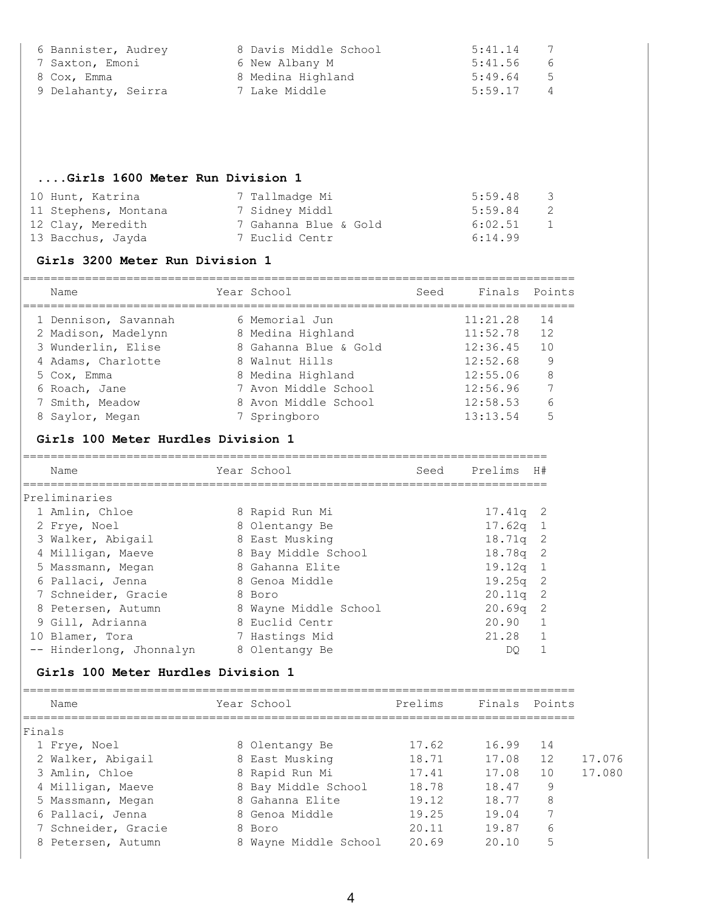| 6 Bannister, Audrey | 8 Davis Middle School | 5:41.14<br>7              |
|---------------------|-----------------------|---------------------------|
| 7 Saxton, Emoni     | 6 New Albany M        | 5:41.56<br>- 6            |
| 8 Cox, Emma         | 8 Medina Highland     | 5:49.64<br>$-5$           |
| 9 Delahanty, Seirra | 7 Lake Middle         | 5:59.17<br>$\overline{4}$ |

## **....Girls 1600 Meter Run Division 1**

| 10 Hunt, Katrina     | 7 Tallmadge Mi        | 5:59.48<br>- 3 |
|----------------------|-----------------------|----------------|
| 11 Stephens, Montana | 7 Sidney Middl        | 5:59.84<br>- 2 |
| 12 Clay, Meredith    | 7 Gahanna Blue & Gold | 6:02.51<br>-1  |
| 13 Bacchus, Jayda    | 7 Euclid Centr        | 6:14.99        |

## **Girls 3200 Meter Run Division 1**

| Name                 | Year School           | Seed | Finals Points |    |
|----------------------|-----------------------|------|---------------|----|
| 1 Dennison, Savannah | 6 Memorial Jun        |      | 11:21.28      | 14 |
| 2 Madison, Madelynn  | 8 Medina Highland     |      | 11:52.78      | 12 |
| 3 Wunderlin, Elise   | 8 Gahanna Blue & Gold |      | 12:36.45      | 10 |
| 4 Adams, Charlotte   | 8 Walnut Hills        |      | 12:52.68      | 9  |
| 5 Cox, Emma          | 8 Medina Highland     |      | 12:55.06      | 8  |
| 6 Roach, Jane        | 7 Avon Middle School  |      | 12:56.96      |    |
| 7 Smith, Meadow      | 8 Avon Middle School  |      | 12:58.53      | 6  |
| 8 Saylor, Megan      | 7 Springboro          |      | 13:13.54      | 5  |
|                      |                       |      |               |    |

#### **Girls 100 Meter Hurdles Division 1**

| Name                     | Year School           | Seed | Prelims    | H#  |
|--------------------------|-----------------------|------|------------|-----|
| Preliminaries            |                       |      |            |     |
| 1 Amlin, Chloe           | 8 Rapid Run Mi        |      | $17.41q$ 2 |     |
| 2 Frye, Noel             | 8 Olentangy Be        |      | $17.62q$ 1 |     |
| 3 Walker, Abigail        | 8 East Musking        |      | $18.71q$ 2 |     |
| 4 Milligan, Maeve        | 8 Bay Middle School   |      | $18.78q$ 2 |     |
| 5 Massmann, Megan        | 8 Gahanna Elite       |      | 19.12q     |     |
| 6 Pallaci, Jenna         | 8 Genoa Middle        |      | $19.25q$ 2 |     |
| 7 Schneider, Gracie      | 8 Boro                |      | 20.11q     | - 2 |
| 8 Petersen, Autumn       | 8 Wayne Middle School |      | $20.69q$ 2 |     |
| 9 Gill, Adrianna         | 8 Euclid Centr        |      | 20.90      |     |
| 10 Blamer, Tora          | 7 Hastings Mid        |      | 21.28      |     |
| -- Hinderlong, Jhonnalyn | 8 Olentangy Be        |      | DO         |     |

### **Girls 100 Meter Hurdles Division 1**

| Name                | Year School           | Prelims | Finals | Points |        |
|---------------------|-----------------------|---------|--------|--------|--------|
| Finals              |                       |         |        |        |        |
| 1 Frye, Noel        | 8 Olentangy Be        | 17.62   | 16.99  | 14     |        |
| 2 Walker, Abigail   | 8 East Musking        | 18.71   | 17.08  | 12     | 17.076 |
| 3 Amlin, Chloe      | 8 Rapid Run Mi        | 17.41   | 17.08  | 10     | 17.080 |
| 4 Milligan, Maeve   | 8 Bay Middle School   | 18.78   | 18.47  | 9      |        |
| 5 Massmann, Megan   | 8 Gahanna Elite       | 19.12   | 18.77  | 8      |        |
| 6 Pallaci, Jenna    | 8 Genoa Middle        | 19.25   | 19.04  |        |        |
| 7 Schneider, Gracie | 8 Boro                | 20.11   | 19.87  | 6      |        |
| 8 Petersen, Autumn  | 8 Wayne Middle School | 20.69   | 20.10  | 5      |        |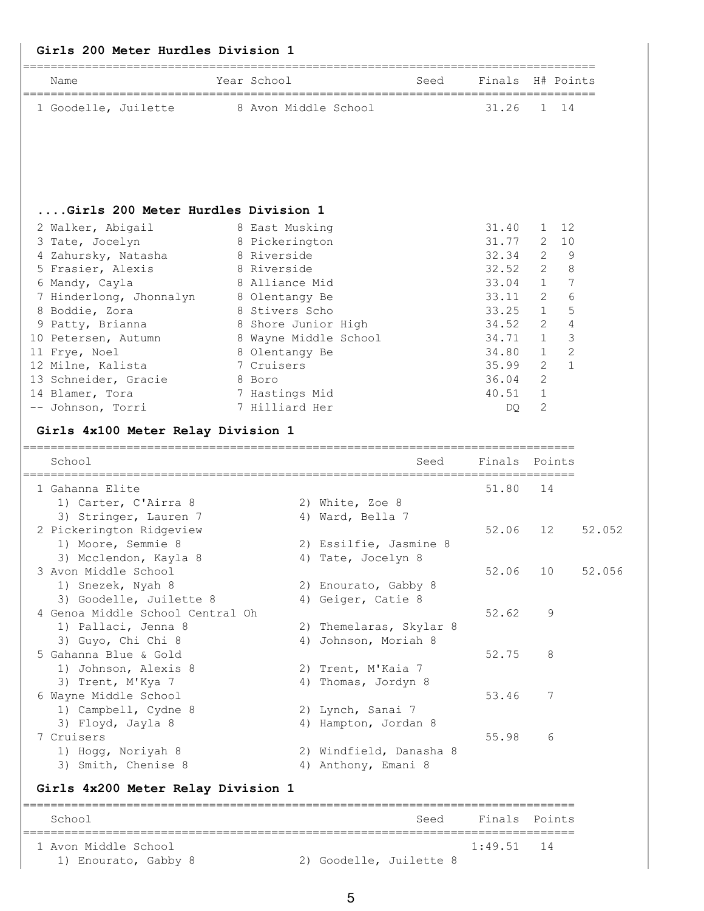### **Girls 200 Meter Hurdles Division 1**

| Name                 | Year School          | Seed | Finals H# Points |  |
|----------------------|----------------------|------|------------------|--|
| 1 Goodelle, Juilette | 8 Avon Middle School |      | 31.26 1 14       |  |

## **....Girls 200 Meter Hurdles Division 1**

| 2 Walker, Abigail       | 8 East Musking        | 31.40 |                | 12             |
|-------------------------|-----------------------|-------|----------------|----------------|
| 3 Tate, Jocelyn         | 8 Pickerington        | 31.77 | $\overline{2}$ | 10             |
| 4 Zahursky, Natasha     | 8 Riverside           | 32.34 | 2              | -9             |
| 5 Frasier, Alexis       | 8 Riverside           | 32.52 | 2              | - 8            |
| 6 Mandy, Cayla          | 8 Alliance Mid        | 33.04 | $\mathbf{1}$   | $\overline{7}$ |
| 7 Hinderlong, Jhonnalyn | 8 Olentangy Be        | 33.11 | 2              | 6              |
| 8 Boddie, Zora          | 8 Stivers Scho        | 33.25 | $\mathbf{1}$   | -5             |
| 9 Patty, Brianna        | 8 Shore Junior High   | 34.52 | 2              | $\overline{4}$ |
| 10 Petersen, Autumn     | 8 Wayne Middle School | 34.71 | $\mathbf{1}$   | 3              |
| 11 Frye, Noel           | 8 Olentangy Be        | 34.80 | $\mathbf{1}$   | 2              |
| 12 Milne, Kalista       | 7 Cruisers            | 35.99 | 2              | $\overline{1}$ |
| 13 Schneider, Gracie    | 8 Boro                | 36.04 | 2              |                |
| 14 Blamer, Tora         | 7 Hastings Mid        | 40.51 | $\mathbf{1}$   |                |
| -- Johnson, Torri       | 7 Hilliard Her        | DO    | 2              |                |

### **Girls 4x100 Meter Relay Division 1**

| School<br>------------------                                  | Seed<br>____________________________      | Finals Points |    |        |
|---------------------------------------------------------------|-------------------------------------------|---------------|----|--------|
| 1 Gahanna Elite                                               |                                           | 51.80         | 14 |        |
| 1) Carter, C'Airra 8                                          | 2) White, Zoe 8                           |               |    |        |
| 3) Stringer, Lauren 7                                         | 4) Ward, Bella 7                          |               |    |        |
| 2 Pickerington Ridgeview                                      |                                           | 52.06         | 12 | 52.052 |
| 1) Moore, Semmie 8                                            | 2) Essilfie, Jasmine 8                    |               |    |        |
| 3) Mcclendon, Kayla 8                                         | 4) Tate, Jocelyn 8                        |               |    |        |
| 3 Avon Middle School                                          |                                           | 52.06         | 10 | 52.056 |
| 1) Snezek, Nyah 8                                             | 2) Enourato, Gabby 8                      |               |    |        |
| 3) Goodelle, Juilette 8                                       | 4) Geiger, Catie 8                        |               |    |        |
| 4 Genoa Middle School Central Oh                              |                                           | 52.62         | 9  |        |
| 1) Pallaci, Jenna 8                                           | 2) Themelaras, Skylar 8                   |               |    |        |
| 3) Guyo, Chi Chi 8                                            | 4) Johnson, Moriah 8                      |               |    |        |
| 5 Gahanna Blue & Gold                                         |                                           | 52.75         | 8  |        |
| 1) Johnson, Alexis 8                                          | 2) Trent, M'Kaia 7                        |               |    |        |
| 3) Trent, M'Kya 7                                             | 4) Thomas, Jordyn 8                       |               |    |        |
| 6 Wayne Middle School                                         |                                           | 53.46         | 7  |        |
| 1) Campbell, Cydne 8                                          | 2) Lynch, Sanai 7                         |               |    |        |
| 3) Floyd, Jayla 8                                             | 4) Hampton, Jordan 8                      |               |    |        |
| 7 Cruisers                                                    |                                           | 55.98         | 6  |        |
| 1) Hogg, Noriyah 8                                            | 2) Windfield, Danasha 8                   |               |    |        |
| 3) Smith, Chenise 8                                           | 4) Anthony, Emani 8                       |               |    |        |
| Girls 4x200 Meter Relay Division 1                            |                                           |               |    |        |
| School<br>======================<br>========================= | Seed<br>================================= | Finals Points |    |        |

| 1 Avon Middle School |                         | $1:49.51$ 14 |  |
|----------------------|-------------------------|--------------|--|
| 1) Enourato, Gabby 8 | 2) Goodelle, Juilette 8 |              |  |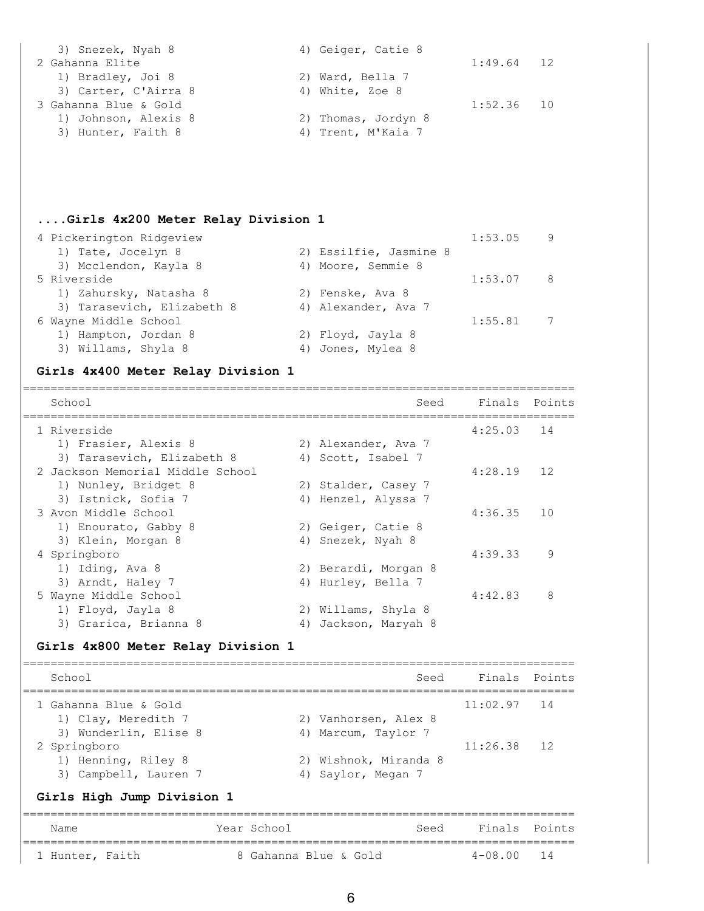| 3) Snezek, Nyah 8     | 4) Geiger, Catie 8  |              |  |
|-----------------------|---------------------|--------------|--|
| 2 Gahanna Elite       |                     | $1:49.64$ 12 |  |
| 1) Bradley, Joi 8     | 2) Ward, Bella 7    |              |  |
| 3) Carter, C'Airra 8  | 4) White, Zoe 8     |              |  |
| 3 Gahanna Blue & Gold |                     | $1:52.36$ 10 |  |
| 1) Johnson, Alexis 8  | 2) Thomas, Jordyn 8 |              |  |
| 3) Hunter, Faith 8    | 4) Trent, M'Kaia 7  |              |  |

#### **....Girls 4x200 Meter Relay Division 1**

| 4 Pickerington Ridgeview   |                        | 1:53.05 | - 9 |
|----------------------------|------------------------|---------|-----|
| 1) Tate, Jocelyn 8         | 2) Essilfie, Jasmine 8 |         |     |
| 3) Mcclendon, Kayla 8      | 4) Moore, Semmie 8     |         |     |
| 5 Riverside                |                        | 1:53.07 | - 8 |
| 1) Zahursky, Natasha 8     | 2) Fenske, Ava 8       |         |     |
| 3) Tarasevich, Elizabeth 8 | 4) Alexander, Ava 7    |         |     |
| 6 Wayne Middle School      |                        | 1:55.81 | 7   |
| 1) Hampton, Jordan 8       | 2) Floyd, Jayla 8      |         |     |
| 3) Willams, Shyla 8        | 4) Jones, Mylea 8      |         |     |
|                            |                        |         |     |

#### **Girls 4x400 Meter Relay Division 1**

================================================================================ School Seed Finals Points ================================================================================ 1 Riverside 4:25.03 14 1) Frasier, Alexis 8 2) Alexander, Ava 7 3) Tarasevich, Elizabeth 8 4) Scott, Isabel 7 2 Jackson Memorial Middle School 4:28.19 12 1) Nunley, Bridget 8 2) Stalder, Casey 7 3) Istnick, Sofia 7 (4) Henzel, Alyssa 7 3 Avon Middle School 4:36.35 10 1) Enourato, Gabby 8 2) Geiger, Catie 8 3) Klein, Morgan 8 4) Snezek, Nyah 8 4 Springboro 4:39.33 9 1) Iding, Ava 8 2) Berardi, Morgan 8 3) Arndt, Haley 7 4) Hurley, Bella 7 5 Wayne Middle School 4:42.83 8 1) Floyd, Jayla 8 2) Willams, Shyla 8 3) Grarica, Brianna 8 4) Jackson, Maryah 8

#### **Girls 4x800 Meter Relay Division 1**

================================================================================ School Seed Finals Points ================================================================================ 1 Gahanna Blue & Gold 11:02.97 14 1) Clay, Meredith 7 2) Vanhorsen, Alex 8 3) Wunderlin, Elise 8 4) Marcum, Taylor 7 2 Springboro 11:26.38 12 1) Henning, Riley 8 2) Wishnok, Miranda 8 3) Campbell, Lauren 7 (4) Saylor, Megan 7

#### **Girls High Jump Division 1**

| Name            |  | Year School           | Seed | Finals Points  |  |
|-----------------|--|-----------------------|------|----------------|--|
| 1 Hunter, Faith |  | 8 Gahanna Blue & Gold |      | $4 - 08.00$ 14 |  |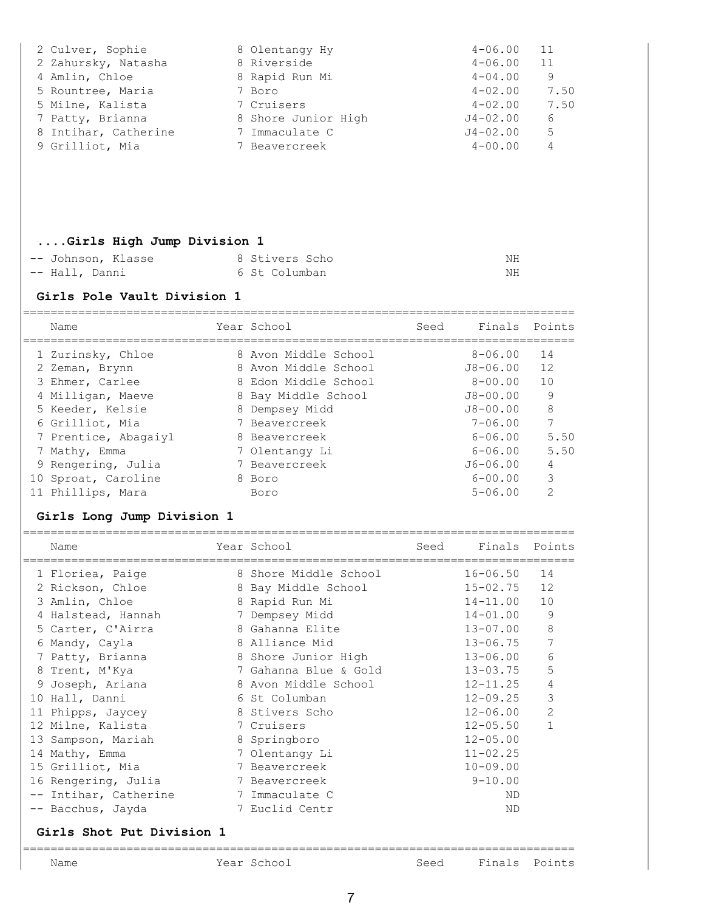| 2 Culver, Sophie     | 8 Olentangy Hy      | $4 - 06.00$  | 11   |
|----------------------|---------------------|--------------|------|
| 2 Zahursky, Natasha  | 8 Riverside         | $4 - 06.00$  | 11   |
| 4 Amlin, Chloe       | 8 Rapid Run Mi      | $4 - 04.00$  | 9    |
| 5 Rountree, Maria    | 7 Boro              | $4 - 02.00$  | 7.50 |
| 5 Milne, Kalista     | 7 Cruisers          | $4 - 02.00$  | 7.50 |
| 7 Patty, Brianna     | 8 Shore Junior High | $J4 - 02.00$ | 6    |
| 8 Intihar, Catherine | 7 Immaculate C      | $J4 - 02.00$ | 5    |
| 9 Grilliot, Mia      | 7 Beavercreek       | $4 - 00.00$  | 4    |
|                      |                     |              |      |

### **....Girls High Jump Division 1**

| -- Johnson, Klasse | 8 Stivers Scho | ΝH |
|--------------------|----------------|----|
| -- Hall, Danni     | 6 St Columban  | ΝH |

#### **Girls Pole Vault Division 1**

| Name                 | Year School          | Seed | Finals       | Points        |
|----------------------|----------------------|------|--------------|---------------|
| 1 Zurinsky, Chloe    | 8 Avon Middle School |      | $8 - 06.00$  | 14            |
| 2 Zeman, Brynn       | 8 Avon Middle School |      | J8-06.00     | 12            |
| 3 Ehmer, Carlee      | 8 Edon Middle School |      | $8 - 00.00$  | 10            |
| 4 Milligan, Maeve    | 8 Bay Middle School  |      | $J8 - 00.00$ | 9             |
| 5 Keeder, Kelsie     | 8 Dempsey Midd       |      | $J8 - 00.00$ | 8             |
| 6 Grilliot, Mia      | 7 Beavercreek        |      | $7 - 06.00$  | 7             |
| 7 Prentice, Abagaiyl | 8 Beavercreek        |      | $6 - 06.00$  | 5.50          |
| 7 Mathy, Emma        | 7 Olentangy Li       |      | $6 - 06.00$  | 5.50          |
| 9 Rengering, Julia   | 7 Beavercreek        |      | $J6 - 06.00$ | 4             |
| 10 Sproat, Caroline  | 8 Boro               |      | $6 - 00.00$  | 3             |
| Phillips, Mara       | Boro                 |      | $5 - 06.00$  | $\mathcal{L}$ |

### **Girls Long Jump Division 1**

| Name                                        | Year School                                | Seed | Finals Points |                |
|---------------------------------------------|--------------------------------------------|------|---------------|----------------|
| =======================<br>1 Floriea, Paige | -----------------<br>8 Shore Middle School |      | $16 - 06.50$  | 14             |
| 2 Rickson, Chloe                            | 8 Bay Middle School                        |      | $15 - 02.75$  | 12             |
| 3 Amlin, Chloe                              | 8 Rapid Run Mi                             |      | $14 - 11.00$  | 10             |
| 4 Halstead, Hannah                          | 7 Dempsey Midd                             |      | $14 - 01.00$  | 9              |
| 5 Carter, C'Airra                           | 8 Gahanna Elite                            |      | $13 - 07.00$  | 8              |
| 6 Mandy, Cayla                              | 8 Alliance Mid                             |      | $13 - 06.75$  |                |
| 7 Patty, Brianna                            | 8 Shore Junior High                        |      | $13 - 06.00$  | 6              |
| 8 Trent, M'Kya                              | 7 Gahanna Blue & Gold                      |      | $13 - 03.75$  | 5              |
| 9 Joseph, Ariana                            | 8 Avon Middle School                       |      | $12 - 11.25$  | $\overline{4}$ |
| 10 Hall, Danni                              | 6 St Columban                              |      | $12 - 09.25$  | 3              |
| 11 Phipps, Jaycey                           | 8 Stivers Scho                             |      | $12 - 06.00$  | $\overline{2}$ |
| 12 Milne, Kalista                           | 7 Cruisers                                 |      | $12 - 05.50$  | $\mathbf{1}$   |
| 13 Sampson, Mariah                          | 8 Springboro                               |      | $12 - 05.00$  |                |
| 14 Mathy, Emma                              | 7 Olentangy Li                             |      | $11 - 02.25$  |                |
| 15 Grilliot, Mia                            | 7 Beavercreek                              |      | $10 - 09.00$  |                |
| 16 Rengering, Julia                         | 7 Beavercreek                              |      | $9 - 10.00$   |                |
| -- Intihar, Catherine                       | 7 Immaculate C                             |      | ND            |                |
| -- Bacchus, Jayda                           | 7 Euclid Centr                             |      | <b>ND</b>     |                |
|                                             |                                            |      |               |                |

#### **Girls Shot Put Division 1**

### ================================================================================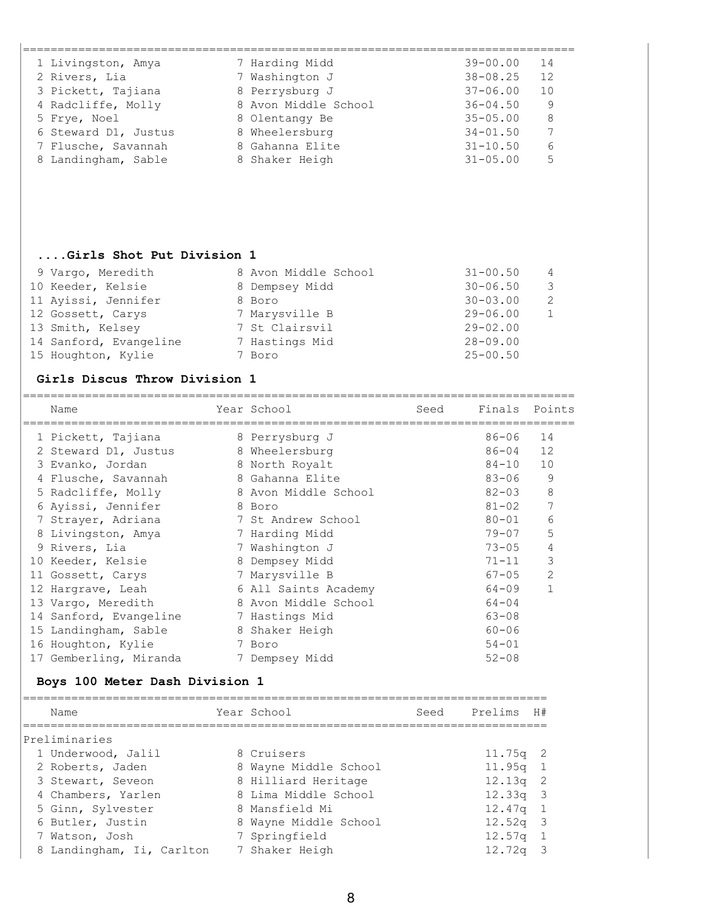| 1 Livingston, Amya   | 7 Harding Midd       | $39 - 00.00$ | 14 |
|----------------------|----------------------|--------------|----|
| 2 Rivers, Lia        | 7 Washington J       | $38 - 08.25$ | 12 |
| 3 Pickett, Tajiana   | 8 Perrysburg J       | $37 - 06.00$ | 10 |
| 4 Radcliffe, Molly   | 8 Avon Middle School | $36 - 04.50$ | 9  |
| 5 Frye, Noel         | 8 Olentangy Be       | $35 - 05.00$ | 8  |
| 6 Steward D1, Justus | 8 Wheelersburg       | $34 - 01.50$ | 7  |
| 7 Flusche, Savannah  | 8 Gahanna Elite      | $31 - 10.50$ | 6  |
| 8 Landingham, Sable  | 8 Shaker Heigh       | $31 - 05.00$ | 5  |
|                      |                      |              |    |

# **....Girls Shot Put Division 1**

| 9 Vargo, Meredith      | 8 Avon Middle School | $31 - 00.50$<br>$\overline{4}$             |
|------------------------|----------------------|--------------------------------------------|
| 10 Keeder, Kelsie      | 8 Dempsey Midd       | $30 - 06.50$<br>- 3                        |
| 11 Ayissi, Jennifer    | 8 Boro               | $\overline{\phantom{0}}^2$<br>$30 - 03.00$ |
| 12 Gossett, Carys      | 7 Marysville B       | $29 - 06.00$<br>- 1                        |
| 13 Smith, Kelsey       | 7 St Clairsvil       | $29 - 02.00$                               |
| 14 Sanford, Evangeline | 7 Hastings Mid       | $28 - 09.00$                               |
| 15 Houghton, Kylie     | 7 Boro               | $25 - 00.50$                               |

#### **Girls Discus Throw Division 1**

| Name                   | Year School          | Seed | Finals    | Points         |
|------------------------|----------------------|------|-----------|----------------|
| 1 Pickett, Tajiana     | 8 Perrysburg J       |      | $86 - 06$ | 14             |
| 2 Steward D1, Justus   | 8 Wheelersburg       |      | 86-04     | 12             |
| 3 Evanko, Jordan       | 8 North Royalt       |      | $84 - 10$ | 10             |
| 4 Flusche, Savannah    | 8 Gahanna Elite      |      | $83 - 06$ | 9              |
| 5 Radcliffe, Molly     | 8 Avon Middle School |      | $82 - 03$ | 8              |
| 6 Ayissi, Jennifer     | 8 Boro               |      | $81 - 02$ | 7              |
| 7 Strayer, Adriana     | 7 St Andrew School   |      | $80 - 01$ | 6              |
| 8 Livingston, Amya     | 7 Harding Midd       |      | $79 - 07$ | 5              |
| 9 Rivers, Lia          | 7 Washington J       |      | $73 - 05$ | 4              |
| 10 Keeder, Kelsie      | 8 Dempsey Midd       |      | $71 - 11$ | 3              |
| 11 Gossett, Carys      | 7 Marysville B       |      | $67 - 05$ | $\overline{2}$ |
| 12 Hargrave, Leah      | 6 All Saints Academy |      | $64 - 09$ | $\mathbf{1}$   |
| 13 Vargo, Meredith     | 8 Avon Middle School |      | $64 - 04$ |                |
| 14 Sanford, Evangeline | 7 Hastings Mid       |      | $63 - 08$ |                |
| 15 Landingham, Sable   | 8 Shaker Heigh       |      | $60 - 06$ |                |
| 16 Houghton, Kylie     | 7 Boro               |      | $54 - 01$ |                |
| 17 Gemberling, Miranda | 7 Dempsey Midd       |      | $52 - 08$ |                |

## **Boys 100 Meter Dash Division 1**

| Name                      | Year School           | Seed | Prelims H#   |  |
|---------------------------|-----------------------|------|--------------|--|
| Preliminaries             |                       |      |              |  |
| 1 Underwood, Jalil        | 8 Cruisers            |      | $11.75q$ 2   |  |
| 2 Roberts, Jaden          | 8 Wayne Middle School |      | 11.95q 1     |  |
| 3 Stewart, Seveon         | 8 Hilliard Heritage   |      | $12.13q$ 2   |  |
| 4 Chambers, Yarlen        | 8 Lima Middle School  |      | $12.33q - 3$ |  |
| 5 Ginn, Sylvester         | 8 Mansfield Mi        |      | $12.47q$ 1   |  |
| 6 Butler, Justin          | 8 Wayne Middle School |      | $12.52q$ 3   |  |
| 7 Watson, Josh            | 7 Springfield         |      | 12.57q 1     |  |
| 8 Landingham, Ii, Carlton | 7 Shaker Heigh        |      | $12.72q$ 3   |  |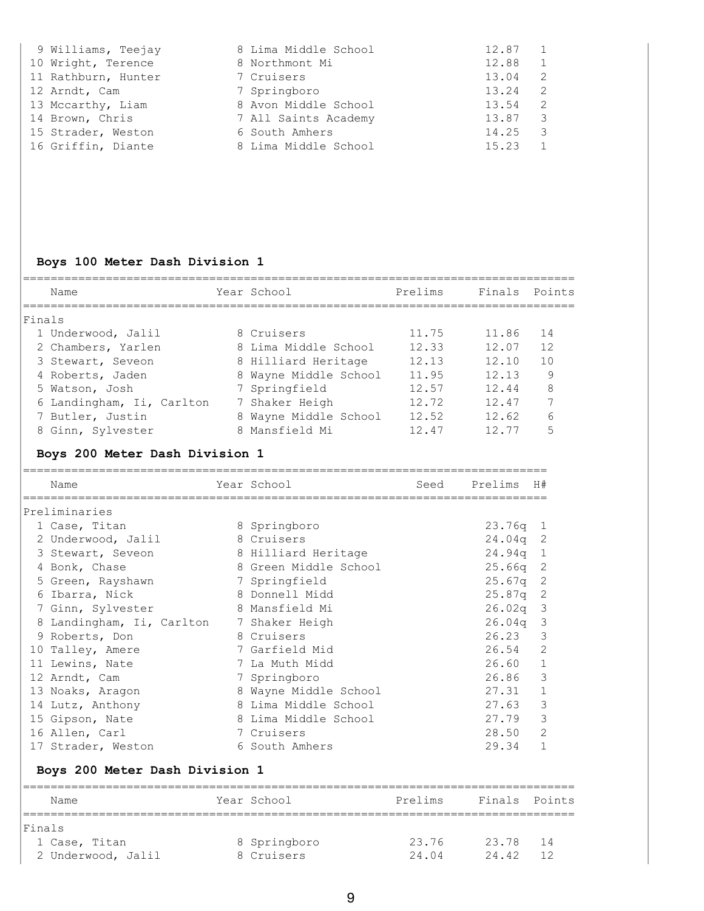| 9 Williams, Teejay  | 8 Lima Middle School | 12.87 |   |
|---------------------|----------------------|-------|---|
| 10 Wright, Terence  | 8 Northmont Mi       | 12.88 |   |
| 11 Rathburn, Hunter | 7 Cruisers           | 13.04 | 2 |
| 12 Arndt, Cam       | 7 Springboro         | 13.24 | 2 |
| 13 Mccarthy, Liam   | 8 Avon Middle School | 13.54 |   |
| 14 Brown, Chris     | 7 All Saints Academy | 13.87 |   |
| 15 Strader, Weston  | 6 South Amhers       | 14.25 | 3 |
| 16 Griffin, Diante  | 8 Lima Middle School | 15.23 |   |

# **Boys 100 Meter Dash Division 1**

|        | Name                      | Year School           | Prelims | Finals | Points         |
|--------|---------------------------|-----------------------|---------|--------|----------------|
| Finals |                           |                       |         |        |                |
|        | 1 Underwood, Jalil        | 8 Cruisers            | 11.75   | 11.86  | 14             |
|        | 2 Chambers, Yarlen        | 8 Lima Middle School  | 12.33   | 12.07  | 12             |
|        | 3 Stewart, Seveon         | 8 Hilliard Heritage   | 12.13   | 12.10  | 1 <sub>0</sub> |
|        | 4 Roberts, Jaden          | 8 Wayne Middle School | 11.95   | 12.13  | 9              |
|        | 5 Watson, Josh            | 7 Springfield         | 12.57   | 12.44  | 8              |
|        | 6 Landingham, Ii, Carlton | 7 Shaker Heigh        | 12.72   | 12.47  | 7              |
|        | 7 Butler, Justin          | 8 Wayne Middle School | 12.52   | 12.62  | 6              |
|        | 8 Ginn, Sylvester         | 8 Mansfield Mi        | 12.47   | 12 77  | 5              |

# **Boys 200 Meter Dash Division 1**

|    | Name                    | Year School           | Seed | Prelims    | H#             |
|----|-------------------------|-----------------------|------|------------|----------------|
|    |                         |                       |      |            |                |
|    | Preliminaries           |                       |      |            |                |
|    | 1 Case, Titan           | 8 Springboro          |      | $23.76q$ 1 |                |
|    | 2 Underwood, Jalil      | 8 Cruisers            |      | $24.04q$ 2 |                |
|    | 3 Stewart, Seveon       | 8 Hilliard Heritage   |      | 24.94q     | 1              |
|    | 4 Bonk, Chase           | 8 Green Middle School |      | 25.66a     | -2             |
|    | 5 Green, Rayshawn       | 7 Springfield         |      | 25.67q     | 2              |
|    | 6 Ibarra, Nick          | 8 Donnell Midd        |      | 25.87q     | -2             |
|    | 7 Ginn, Sylvester       | 8 Mansfield Mi        |      | 26.02a     | -3             |
|    | Landingham, Ii, Carlton | 7 Shaker Heigh        |      | 26.04q     | 3              |
|    | 9 Roberts, Don          | 8 Cruisers            |      | 26.23      | 3              |
|    | 10 Talley, Amere        | 7 Garfield Mid        |      | 26.54      | 2              |
| 11 | Lewins, Nate            | 7 La Muth Midd        |      | 26.60      | $\mathbf{1}$   |
|    | 12 Arndt, Cam           | 7 Springboro          |      | 26.86      | 3              |
|    | 13 Noaks, Aragon        | 8 Wayne Middle School |      | 27.31      | 1              |
|    | 14 Lutz, Anthony        | 8 Lima Middle School  |      | 27.63      | 3              |
|    | 15 Gipson, Nate         | 8 Lima Middle School  |      | 27.79      | 3              |
|    | 16 Allen, Carl          | 7 Cruisers            |      | 28.50      | $\overline{2}$ |
|    | 17 Strader, Weston      | 6 South Amhers        |      | 29.34      | 1              |

# **Boys 200 Meter Dash Division 1**

| Name               | Year School  | Prelims | Finals Points |     |
|--------------------|--------------|---------|---------------|-----|
| Finals             |              |         |               |     |
| 1 Case, Titan      | 8 Springboro | 23.76   | 23.78         | -14 |
| 2 Underwood, Jalil | 8 Cruisers   | 24 04   | 24 42         |     |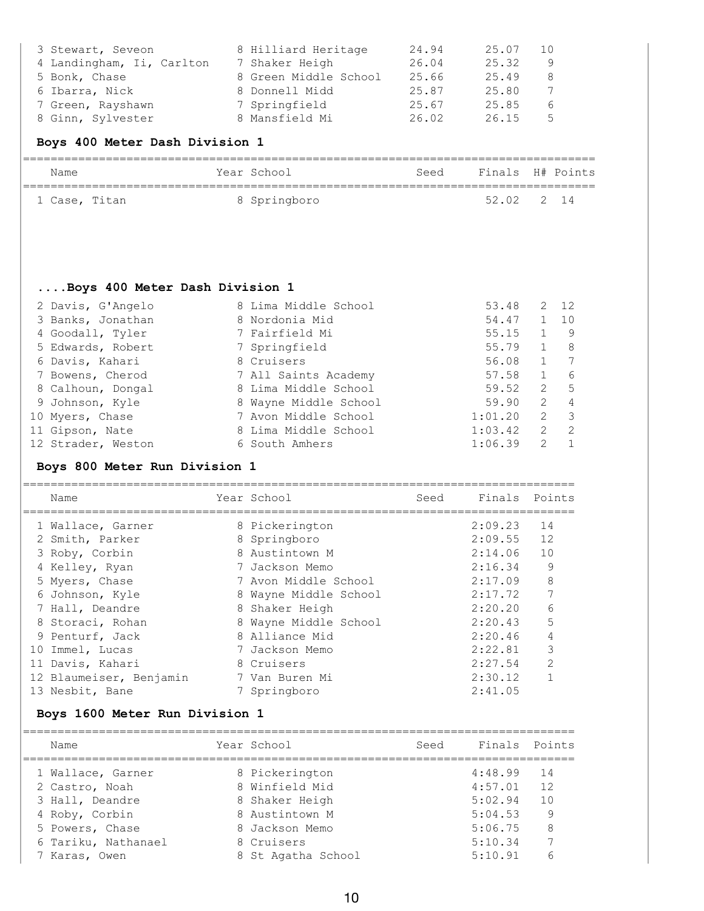| 3 Stewart, Seveon         | 8 Hilliard Heritage   | 24.94 | 25.07 | 10 |
|---------------------------|-----------------------|-------|-------|----|
| 4 Landingham, Ii, Carlton | 7 Shaker Heigh        | 26.04 | 25.32 | 9  |
| 5 Bonk, Chase             | 8 Green Middle School | 25.66 | 25.49 | 8  |
| 6 Ibarra, Nick            | 8 Donnell Midd        | 25.87 | 25.80 |    |
| 7 Green, Rayshawn         | 7 Springfield         | 25.67 | 25.85 | 6  |
| 8 Ginn, Sylvester         | 8 Mansfield Mi        | 26.02 | 26.15 | 5  |

# **Boys 400 Meter Dash Division 1**

| Name          | Year School  | Seed | Finals H# Points |  |
|---------------|--------------|------|------------------|--|
| 1 Case, Titan | 8 Springboro |      | 52.02 2 14       |  |

## **....Boys 400 Meter Dash Division 1**

| 2 Davis, G'Angelo  | 8 Lima Middle School  | 53.48   | 2             | 12             |
|--------------------|-----------------------|---------|---------------|----------------|
| 3 Banks, Jonathan  | 8 Nordonia Mid        | 54.47   | $\mathbf{1}$  | 10             |
| 4 Goodall, Tyler   | 7 Fairfield Mi        | 55.15   |               | - 9            |
| 5 Edwards, Robert  | 7 Springfield         | 55.79   | $\mathbf{1}$  | - 8            |
| 6 Davis, Kahari    | 8 Cruisers            | 56.08   |               | $\overline{7}$ |
| 7 Bowens, Cherod   | 7 All Saints Academy  | 57.58   |               | -6             |
| 8 Calhoun, Dongal  | 8 Lima Middle School  | 59.52   | 2             | - 5            |
| 9 Johnson, Kyle    | 8 Wayne Middle School | 59.90   | 2             | $\overline{4}$ |
| 10 Myers, Chase    | 7 Avon Middle School  | 1:01.20 | 2             | - 3            |
| 11 Gipson, Nate    | 8 Lima Middle School  | 1:03.42 | 2             | -2             |
| 12 Strader, Weston | 6 South Amhers        | 1:06.39 | $\mathcal{L}$ | $\overline{1}$ |

## **Boys 800 Meter Run Division 1**

| Name                    | Year School           | Seed | Finals Points |                |
|-------------------------|-----------------------|------|---------------|----------------|
| 1 Wallace, Garner       | 8 Pickerington        |      | 2:09.23       | 14             |
| 2 Smith, Parker         | 8 Springboro          |      | 2:09.55       | 12             |
| 3 Roby, Corbin          | 8 Austintown M        |      | 2:14.06       | 10             |
| 4 Kelley, Ryan          | 7 Jackson Memo        |      | 2:16.34       | 9              |
| 5 Myers, Chase          | 7 Avon Middle School  |      | 2:17.09       | 8              |
| 6 Johnson, Kyle         | 8 Wayne Middle School |      | 2:17.72       |                |
| 7 Hall, Deandre         | 8 Shaker Heigh        |      | 2:20.20       | 6              |
| 8 Storaci, Rohan        | 8 Wayne Middle School |      | 2:20.43       | 5              |
| 9 Penturf, Jack         | 8 Alliance Mid        |      | 2:20.46       | $\overline{4}$ |
| 10 Immel, Lucas         | 7 Jackson Memo        |      | 2:22.81       | 3              |
| 11 Davis, Kahari        | 8 Cruisers            |      | 2:27.54       | $\mathcal{L}$  |
| 12 Blaumeiser, Benjamin | 7 Van Buren Mi        |      | 2:30.12       |                |
| 13 Nesbit, Bane         | 7 Springboro          |      | 2:41.05       |                |

## **Boys 1600 Meter Run Division 1**

| Name                | Year School        | Seed | Finals Points |    |
|---------------------|--------------------|------|---------------|----|
| 1 Wallace, Garner   | 8 Pickerington     |      | 4:48.99       | 14 |
| 2 Castro, Noah      | 8 Winfield Mid     |      | 4:57.01       | 12 |
| 3 Hall, Deandre     | 8 Shaker Heigh     |      | 5:02.94       | 10 |
| 4 Roby, Corbin      | 8 Austintown M     |      | 5:04.53       | 9  |
| 5 Powers, Chase     | 8 Jackson Memo     |      | 5:06.75       | 8  |
| 6 Tariku, Nathanael | 8 Cruisers         |      | 5:10.34       |    |
| 7 Karas, Owen       | 8 St Agatha School |      | 5:10.91       | 6  |
|                     |                    |      |               |    |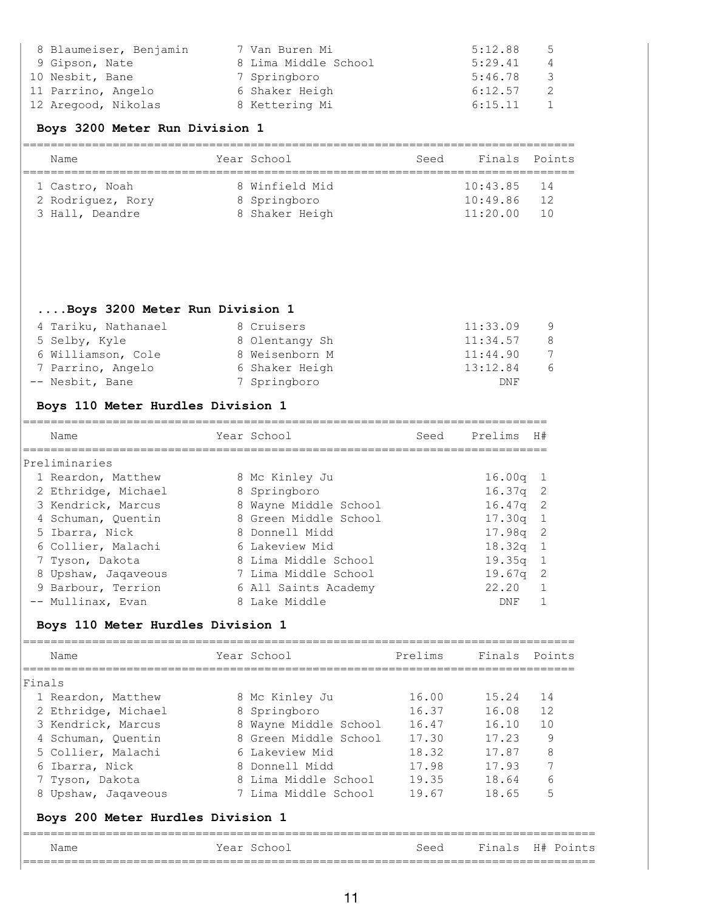| 8 Blaumeiser, Benjamin | 7 Van Buren Mi       | 5:12.88 | 5 |
|------------------------|----------------------|---------|---|
| 9 Gipson, Nate         | 8 Lima Middle School | 5:29.41 | 4 |
| 10 Nesbit, Bane        | 7 Springboro         | 5:46.78 | 3 |
| 11 Parrino, Angelo     | 6 Shaker Heigh       | 6:12.57 |   |
| 12 Aregood, Nikolas    | 8 Kettering Mi       | 6:15.11 |   |

### **Boys 3200 Meter Run Division 1**

| Name              | Year School    | Seed | Finals Points |       |
|-------------------|----------------|------|---------------|-------|
| 1 Castro, Noah    | 8 Winfield Mid |      | $10:43.85$ 14 |       |
| 2 Rodriguez, Rory | 8 Springboro   |      | 10:49.86      | -12   |
| 3 Hall, Deandre   | 8 Shaker Heigh |      | 11:20.00      | - 1 O |

#### **....Boys 3200 Meter Run Division 1**

| 4 Tariku, Nathanael | 8 Cruisers     | 11:33.09 | - 9 |
|---------------------|----------------|----------|-----|
| 5 Selby, Kyle       | 8 Olentangy Sh | 11:34.57 | -8  |
| 6 Williamson, Cole  | 8 Weisenborn M | 11:44.90 | 7   |
| 7 Parrino, Angelo   | 6 Shaker Heigh | 13:12.84 | 6   |
| -- Nesbit, Bane     | 7 Springboro   | DNF      |     |

## **Boys 110 Meter Hurdles Division 1**

| Name                | Year School           | Seed | Prelims    | H#  |
|---------------------|-----------------------|------|------------|-----|
| Preliminaries       |                       |      |            |     |
| 1 Reardon, Matthew  | 8 Mc Kinley Ju        |      | $16.00q$ 1 |     |
| 2 Ethridge, Michael | 8 Springboro          |      | $16.37q$ 2 |     |
| 3 Kendrick, Marcus  | 8 Wayne Middle School |      | $16.47q$ 2 |     |
| 4 Schuman, Quentin  | 8 Green Middle School |      | $17.30q$ 1 |     |
| 5 Ibarra, Nick      | 8 Donnell Midd        |      | $17.98q$ 2 |     |
| 6 Collier, Malachi  | 6 Lakeview Mid        |      | 18.32g     | - 1 |
| 7 Tyson, Dakota     | 8 Lima Middle School  |      | 19.35q     | - 1 |
| 8 Upshaw, Jaqaveous | 7 Lima Middle School  |      | 19.67q     | - 2 |
| 9 Barbour, Terrion  | 6 All Saints Academy  |      | 22.20      |     |
| -- Mullinax, Evan   | 8 Lake Middle         |      | DNF        |     |

# **Boys 110 Meter Hurdles Division 1**

|        | Name                              | Year School           | Prelims | Finals Points |           |
|--------|-----------------------------------|-----------------------|---------|---------------|-----------|
| Finals |                                   |                       |         |               |           |
|        | 1 Reardon, Matthew                | 8 Mc Kinley Ju        | 16.00   | 15.24         | 14        |
|        | 2 Ethridge, Michael               | 8 Springboro          | 16.37   | 16.08         | 12        |
|        | 3 Kendrick, Marcus                | 8 Wayne Middle School | 16.47   | 16.10         | 10        |
|        | 4 Schuman, Quentin                | 8 Green Middle School | 17.30   | 17.23         | 9         |
|        | 5 Collier, Malachi                | 6 Lakeview Mid        | 18.32   | 17.87         | 8         |
|        | 6 Ibarra, Nick                    | 8 Donnell Midd        | 17.98   | 17.93         | 7         |
|        | 7 Tyson, Dakota                   | 8 Lima Middle School  | 19.35   | 18.64         | 6         |
|        | 8 Upshaw, Jaqaveous               | 7 Lima Middle School  | 19.67   | 18.65         | 5         |
|        | Boys 200 Meter Hurdles Division 1 |                       |         |               |           |
|        | Name                              | Year School           | Seed    | Finals        | H# Points |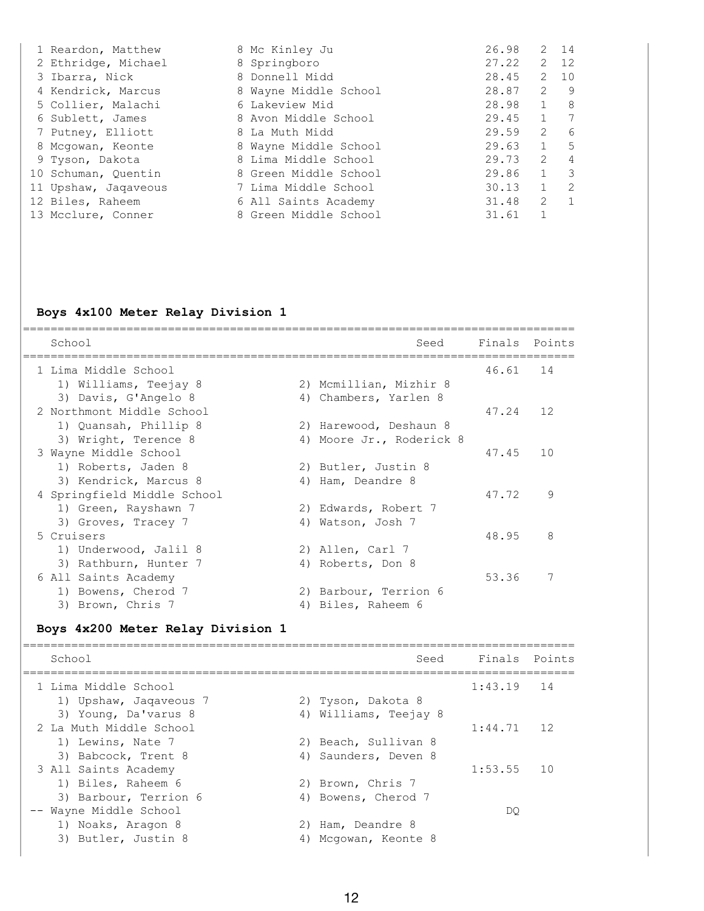| 1 Reardon, Matthew   | 8 Mc Kinley Ju        | 26.98 |                | $2 \quad 14$   |
|----------------------|-----------------------|-------|----------------|----------------|
| 2 Ethridge, Michael  | 8 Springboro          | 27.22 |                | 2 12           |
| 3 Ibarra, Nick       | 8 Donnell Midd        | 28.45 | 2              | 10             |
| 4 Kendrick, Marcus   | 8 Wayne Middle School | 28.87 | 2              | -9             |
| 5 Collier, Malachi   | 6 Lakeview Mid        | 28.98 | $\mathbf{1}$   | 8              |
| 6 Sublett, James     | 8 Avon Middle School  | 29.45 | $\overline{1}$ | -7             |
| 7 Putney, Elliott    | 8 La Muth Midd        | 29.59 | $\overline{2}$ | 6              |
| 8 Mcgowan, Keonte    | 8 Wayne Middle School | 29.63 | $\mathbf{1}$   | 5              |
| 9 Tyson, Dakota      | 8 Lima Middle School  | 29.73 | 2              | 4              |
| 10 Schuman, Quentin  | 8 Green Middle School | 29.86 | 1              | 3              |
| 11 Upshaw, Jaqaveous | 7 Lima Middle School  | 30.13 | $\mathbf{1}$   | 2              |
| 12 Biles, Raheem     | 6 All Saints Academy  | 31.48 | 2              | $\overline{1}$ |
| 13 Mcclure, Conner   | 8 Green Middle School | 31.61 |                |                |

#### **Boys 4x100 Meter Relay Division 1**

| School                      |    | Seed                   | Finals Points |    |
|-----------------------------|----|------------------------|---------------|----|
| 1 Lima Middle School        |    |                        | 46.61         | 14 |
| 1) Williams, Teejay 8       |    | 2) Mcmillian, Mizhir 8 |               |    |
| 3) Davis, G'Angelo 8        |    | 4) Chambers, Yarlen 8  |               |    |
| 2 Northmont Middle School   |    |                        | 47.24         | 12 |
| 1) Quansah, Phillip 8       |    | 2) Harewood, Deshaun 8 |               |    |
| 3) Wright, Terence 8        | 4) | Moore Jr., Roderick 8  |               |    |
| 3 Wayne Middle School       |    |                        | 47.45         | 10 |
| 1) Roberts, Jaden 8         |    | 2) Butler, Justin 8    |               |    |
| 3) Kendrick, Marcus 8       | 4) | Ham, Deandre 8         |               |    |
| 4 Springfield Middle School |    |                        | 47.72         | 9  |
| 1) Green, Rayshawn 7        |    | 2) Edwards, Robert 7   |               |    |
| 3) Groves, Tracey 7         | 4) | Watson, Josh 7         |               |    |
| 5 Cruisers                  |    |                        | 48.95         | 8  |
| 1) Underwood, Jalil 8       |    | 2) Allen, Carl 7       |               |    |
| 3) Rathburn, Hunter 7       | 4) | Roberts, Don 8         |               |    |
| 6 All Saints Academy        |    |                        | 53.36         | 7  |
| 1) Bowens, Cherod 7         |    | 2) Barbour, Terrion 6  |               |    |
| 3) Brown, Chris 7           | 4) | Biles, Raheem 6        |               |    |

#### **Boys 4x200 Meter Relay Division 1**

================================================================================ School Seed Finals Points ================================================================================ 1 Lima Middle School 1:43.19 14 1) Upshaw, Jaqaveous 7 2) Tyson, Dakota 8 3) Young, Da'varus 8 4) Williams, Teejay 8 2 La Muth Middle School 1:44.71 12 1) Lewins, Nate 7 2) Beach, Sullivan 8 3) Babcock, Trent 8 (4) Saunders, Deven 8 3 All Saints Academy 1:53.55 10 1) Biles, Raheem 6 2) Brown, Chris 7 3) Barbour, Terrion 6 (4) Bowens, Cherod 7 -- Wayne Middle School DQ 1) Noaks, Aragon 8 2) Ham, Deandre 8 3) Butler, Justin 8 4) Mcgowan, Keonte 8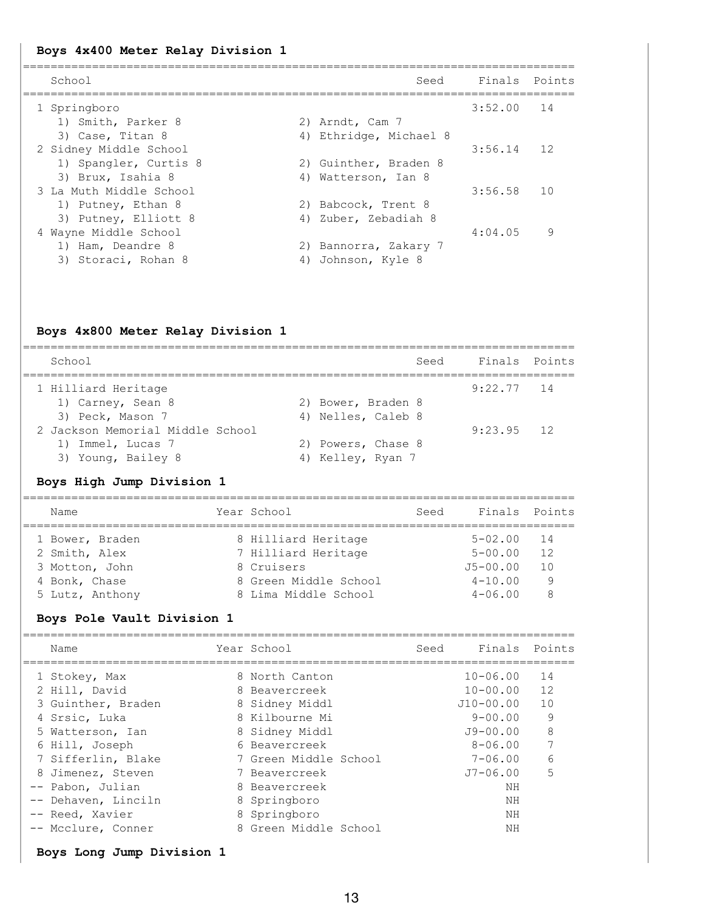#### **Boys 4x400 Meter Relay Division 1**

| School                  |    | Seed                  | Finals  | Points |
|-------------------------|----|-----------------------|---------|--------|
| 1 Springboro            |    |                       | 3:52.00 | 14     |
| 1) Smith, Parker 8      |    | 2) Arndt, Cam 7       |         |        |
| 3) Case, Titan 8        | 4) | Ethridge, Michael 8   |         |        |
| 2 Sidney Middle School  |    |                       | 3:56.14 | 12     |
| 1) Spangler, Curtis 8   |    | 2) Guinther, Braden 8 |         |        |
| 3) Brux, Isahia 8       | 4) | Watterson, Ian 8      |         |        |
| 3 La Muth Middle School |    |                       | 3:56.58 | 10     |
| 1) Putney, Ethan 8      |    | 2) Babcock, Trent 8   |         |        |
| 3) Putney, Elliott 8    | 4) | Zuber, Zebadiah 8     |         |        |
| 4 Wayne Middle School   |    |                       | 4:04.05 | 9      |
| 1) Ham, Deandre 8       | 2) | Bannorra, Zakary 7    |         |        |
| 3) Storaci, Rohan 8     | 4  | Johnson, Kyle 8       |         |        |
|                         |    |                       |         |        |

#### **Boys 4x800 Meter Relay Division 1**

| School                           | Seed               | Finals Points |  |
|----------------------------------|--------------------|---------------|--|
| 1 Hilliard Heritage              |                    | $9:22.77$ 14  |  |
| 1) Carney, Sean 8                | 2) Bower, Braden 8 |               |  |
| 3) Peck, Mason 7                 | 4) Nelles, Caleb 8 |               |  |
| 2 Jackson Memorial Middle School |                    | $9:23.95$ 12  |  |
| 1) Immel, Lucas 7                | 2) Powers, Chase 8 |               |  |
| 3) Young, Bailey 8               | 4) Kelley, Ryan 7  |               |  |
|                                  |                    |               |  |

#### **Boys High Jump Division 1**

================================================================================ Name The Year School Seed Finals Points ================================================================================ 1 Bower, Braden 8 Hilliard Heritage 5-02.00 14 2 Smith, Alex 7 Hilliard Heritage 5-00.00 12 3 Motton, John 8 Cruisers J5-00.00 10 4 Bonk, Chase 8 Green Middle School 4-10.00 9 5 Lutz, Anthony 8 Lima Middle School 4-06.00 8

#### **Boys Pole Vault Division 1**

| Name                | Year School           | Seed | Finals Points |    |
|---------------------|-----------------------|------|---------------|----|
| 1 Stokey, Max       | 8 North Canton        |      | $10 - 06.00$  | 14 |
| 2 Hill, David       | 8 Beavercreek         |      | $10 - 00.00$  | 12 |
| 3 Guinther, Braden  | 8 Sidney Middl        |      | J10-00.00     | 10 |
| 4 Srsic, Luka       | 8 Kilbourne Mi        |      | $9 - 00.00$   | 9  |
| 5 Watterson, Ian    | 8 Sidney Middl        |      | $J9 - 00.00$  | 8  |
| 6 Hill, Joseph      | 6 Beavercreek         |      | $8 - 06.00$   | 7  |
| 7 Sifferlin, Blake  | 7 Green Middle School |      | $7 - 06.00$   | 6  |
| 8 Jimenez, Steven   | 7 Beavercreek         |      | $J7 - 06.00$  | 5  |
| -- Pabon, Julian    | 8 Beavercreek         |      | ΝH            |    |
| -- Dehaven, Linciln | 8 Springboro          |      | ΝH            |    |
| -- Reed, Xavier     | 8 Springboro          |      | ΝH            |    |
| -- Mcclure, Conner  | 8 Green Middle School |      | ΝH            |    |
|                     |                       |      |               |    |

**Boys Long Jump Division 1**